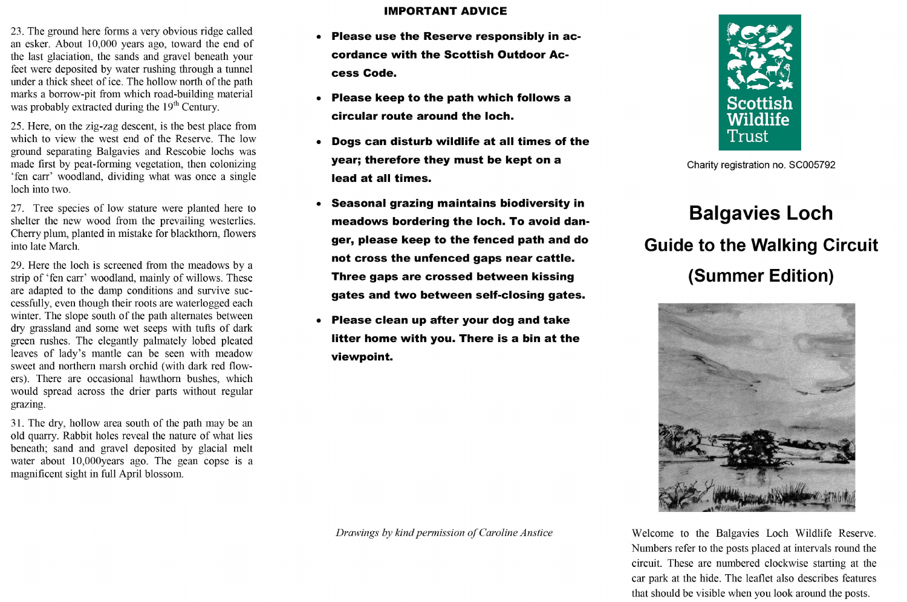- 23. The ground here forms a very obvious ridge called an esker. About 10,000 years ago, toward the end of the last glaciation, the sands and gravel beneath your feet were deposited by water rushing through a tunnel under a thick sheet of ice. The hollow north of the path marks a borrow-pit from which road-building material was probably extracted during the 19<sup>th</sup> Century.
- 25. Here, on the zig-zag descent, is the best place from which to view the west end of the Reserve. The low ground separating Balgavies and Rescobie lochs was made first by peat-forming vegetation, then colonizing 'fen carr' woodland, dividing what was once a single loch into two.
- 27. Tree species of low stature were planted here to shelter the new wood from the prevailing westerlies. Cherry plum, planted in mistake for blackthorn, flowers into late March.
- 29. Here the loch is screened from the meadows by a strip of 'fen carr' woodland, mainly of willows. These are adapted to the damp conditions and survive successfully, even though their roots are waterlogged each winter. The slope south of the path alternates between dry grassland and some wet seeps with tufts of dark green rushes. The elegantly palmately lobed pleated leaves of lady's mantle can be seen with meadow sweet and northern marsh orchid (with dark red flowers). There are occasional hawthorn bushes, which would spread across the drier parts without regular grazing.
- 31. The dry, hollow area south of the path may be an old quarry. Rabbit holes reveal the nature of what lies beneath; sand and gravel deposited by glacial melt water about 10,000years ago. The gean copse is a magnificent sight in full April blossom.

## **IMPORTANT ADVICE**

- Please use the Reserve responsibly in accordance with the Scottish Outdoor Access Code.
- Please keep to the path which follows a circular route around the loch.
- Dogs can disturb wildlife at all times of the year; therefore they must be kept on a lead at all times.
- Seasonal grazing maintains biodiversity in meadows bordering the loch. To avoid danger, please keep to the fenced path and do not cross the unfenced gaps near cattle. Three gaps are crossed between kissing gates and two between self-closing gates.
- Please clean up after your dog and take  $\bullet$ litter home with you. There is a bin at the viewpoint.





Charity registration no. SC005792

## **Balgavies Loch Guide to the Walking Circuit** (Summer Edition)



Welcome to the Balgavies Loch Wildlife Reserve. Numbers refer to the posts placed at intervals round the circuit. These are numbered clockwise starting at the car park at the hide. The leaflet also describes features that should be visible when you look around the posts.